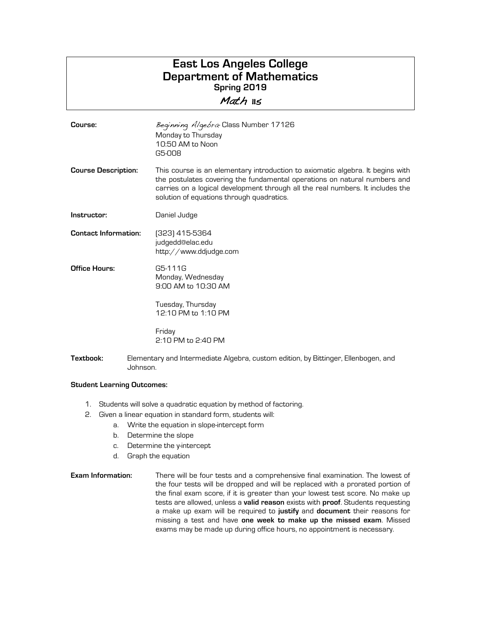## **East Los Angeles College Department of Mathematics Spring 2019** Math 115

**Course: Beginning Algebra- Class Number 17126** Monday to Thursday 10:50 AM to Noon G5-008 **Course Description:** This course is an elementary introduction to axiomatic algebra. It begins with the postulates covering the fundamental operations on natural numbers and carries on a logical development through all the real numbers. It includes the solution of equations through quadratics. **Instructor:** Daniel Judge **Contact Information:** (323) 415-5364 judgedd@elac.edu http://www.ddjudge.com **Office Hours:** G5-111G Monday, Wednesday 9:00 AM to 10:30 AM Tuesday, Thursday 12:10 PM to 1:10 PM Friday 2:10 PM to 2:40 PM **Textbook:** Elementary and Intermediate Algebra, custom edition, by Bittinger, Ellenbogen, and

## **Student Learning Outcomes:**

Johnson.

- 1. Students will solve a quadratic equation by method of factoring.
- 2. Given a linear equation in standard form, students will:
	- a. Write the equation in slope-intercept form
		- b. Determine the slope
		- c. Determine the y-intercept
		- d. Graph the equation
- **Exam Information:** There will be four tests and a comprehensive final examination. The lowest of the four tests will be dropped and will be replaced with a prorated portion of the final exam score, if it is greater than your lowest test score. No make up tests are allowed, unless a **valid reason** exists with **proof**. Students requesting a make up exam will be required to **justify** and **document** their reasons for missing a test and have **one week to make up the missed exam**. Missed exams may be made up during office hours, no appointment is necessary.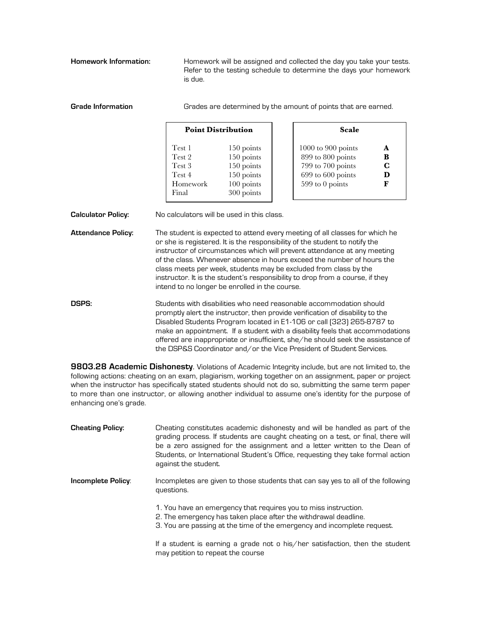Homework Information: **Homework will be assigned and collected the day you take your tests.** Refer to the testing schedule to determine the days your homework is due.

| <b>Grade Information</b>  | Grades are determined by the amount of points that are earned.                                                                                                                                                                                                                                                                                                                                                                                                                                                          |                                                                                  |                                                                                                          |                                 |
|---------------------------|-------------------------------------------------------------------------------------------------------------------------------------------------------------------------------------------------------------------------------------------------------------------------------------------------------------------------------------------------------------------------------------------------------------------------------------------------------------------------------------------------------------------------|----------------------------------------------------------------------------------|----------------------------------------------------------------------------------------------------------|---------------------------------|
|                           | <b>Point Distribution</b>                                                                                                                                                                                                                                                                                                                                                                                                                                                                                               |                                                                                  | <b>Scale</b>                                                                                             |                                 |
|                           | Test 1<br>Test 2<br>Test 3<br>Test 4<br>Homework<br>Final                                                                                                                                                                                                                                                                                                                                                                                                                                                               | 150 points<br>150 points<br>150 points<br>150 points<br>100 points<br>300 points | $1000$ to $900$ points<br>899 to 800 points<br>799 to 700 points<br>699 to 600 points<br>599 to 0 points | A<br>B<br>$\mathbf C$<br>D<br>F |
| <b>Calculator Policy:</b> |                                                                                                                                                                                                                                                                                                                                                                                                                                                                                                                         | No calculators will be used in this class.                                       |                                                                                                          |                                 |
| <b>Attendance Policy:</b> | The student is expected to attend every meeting of all classes for which he<br>or she is registered. It is the responsibility of the student to notify the<br>instructor of circumstances which will prevent attendance at any meeting<br>of the class. Whenever absence in hours exceed the number of hours the<br>class meets per week, students may be excluded from class by the<br>instructor. It is the student's responsibility to drop from a course, if they<br>intend to no longer be enrolled in the course. |                                                                                  |                                                                                                          |                                 |
| <b>DSPS:</b>              | Students with disabilities who need reasonable accommodation should<br>promptly alert the instructor, then provide verification of disability to the<br>Disabled Students Program located in E1-106 or call [323] 265-8787 to<br>make an appointment. If a student with a disability feels that accommodations<br>offered are inappropriate or insufficient, she/he should seek the assistance of<br>the DSP&S Coordinator and/or the Vice President of Student Services.                                               |                                                                                  |                                                                                                          |                                 |

**9803.28 Academic Dishonesty**. Violations of Academic Integrity include, but are not limited to, the following actions: cheating on an exam, plagiarism, working together on an assignment, paper or project when the instructor has specifically stated students should not do so, submitting the same term paper to more than one instructor, or allowing another individual to assume one's identity for the purpose of enhancing one's grade.

| <b>Cheating Policy:</b> | Cheating constitutes academic dishonesty and will be handled as part of the<br>grading process. If students are caught cheating on a test, or final, there will<br>be a zero assigned for the assignment and a letter written to the Dean of<br>Students, or International Student's Office, requesting they take formal action<br>against the student. |
|-------------------------|---------------------------------------------------------------------------------------------------------------------------------------------------------------------------------------------------------------------------------------------------------------------------------------------------------------------------------------------------------|
| Incomplete Policy:      | Incompletes are given to those students that can say yes to all of the following<br>questions.                                                                                                                                                                                                                                                          |
|                         | 1. You have an emergency that requires you to miss instruction.<br>2. The emergency has taken place after the withdrawal deadline.<br>3. You are passing at the time of the emergency and incomplete request.                                                                                                                                           |
|                         | If a student is earning a grade not o his/her satisfaction, then the student<br>may petition to repeat the course                                                                                                                                                                                                                                       |